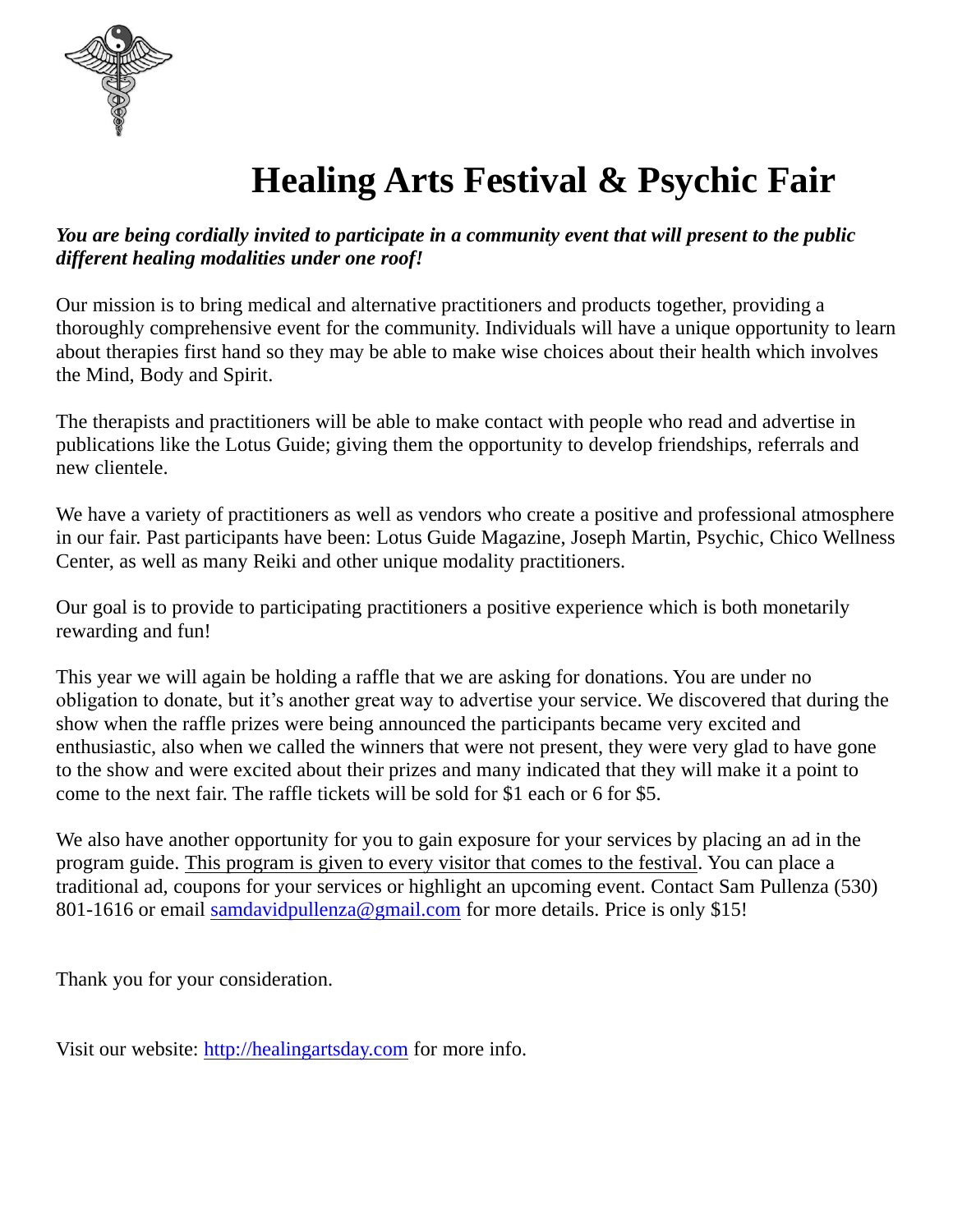

# **Healing Arts Festival & Psychic Fair**

#### *You are being cordially invited to participate in a community event that will present to the public different healing modalities under one roof!*

Our mission is to bring medical and alternative practitioners and products together, providing a thoroughly comprehensive event for the community. Individuals will have a unique opportunity to learn about therapies first hand so they may be able to make wise choices about their health which involves the Mind, Body and Spirit.

The therapists and practitioners will be able to make contact with people who read and advertise in publications like the Lotus Guide; giving them the opportunity to develop friendships, referrals and new clientele.

We have a variety of practitioners as well as vendors who create a positive and professional atmosphere in our fair. Past participants have been: Lotus Guide Magazine, Joseph Martin, Psychic, Chico Wellness Center, as well as many Reiki and other unique modality practitioners.

Our goal is to provide to participating practitioners a positive experience which is both monetarily rewarding and fun!

This year we will again be holding a raffle that we are asking for donations. You are under no obligation to donate, but it's another great way to advertise your service. We discovered that during the show when the raffle prizes were being announced the participants became very excited and enthusiastic, also when we called the winners that were not present, they were very glad to have gone to the show and were excited about their prizes and many indicated that they will make it a point to come to the next fair. The raffle tickets will be sold for \$1 each or 6 for \$5.

We also have another opportunity for you to gain exposure for your services by placing an ad in the program guide. This program is given to every visitor that comes to the festival. You can place a traditional ad, coupons for your services or highlight an upcoming event. Contact Sam Pullenza (530) 801-1616 or email samdavidpullenza@gmail.com for more details. Price is only \$15!

Thank you for your consideration.

Visit our website: [http://healingartsday.com](http://healingartsday.com/) for more info.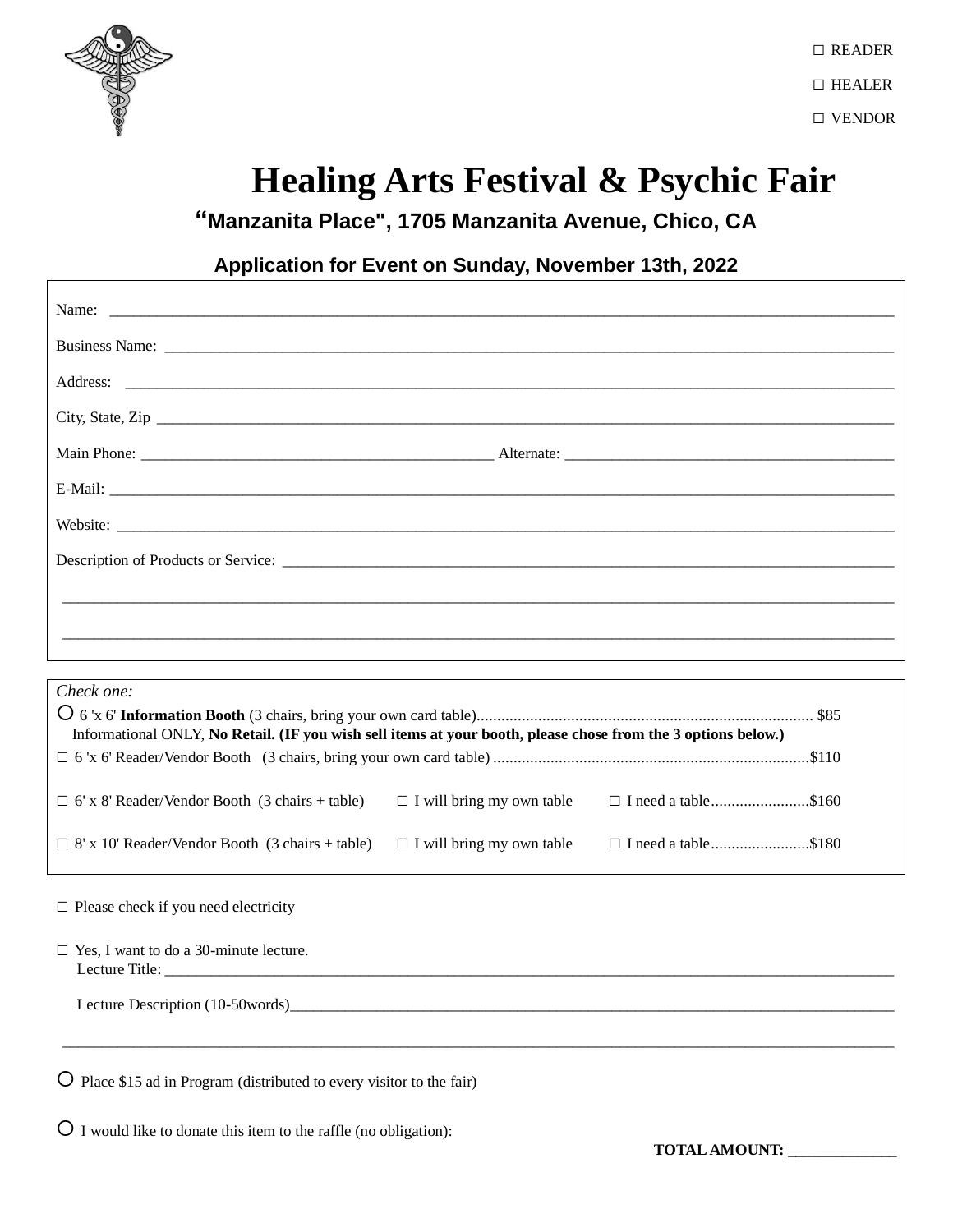

## **Healing Arts Festival & Psychic Fair**

**"Manzanita Place", 1705 Manzanita Avenue, Chico, CA**

### **Application for Event on Sunday, November 13th, 2022**

| City, State, Zip |  |
|------------------|--|
|                  |  |
|                  |  |
| Website:         |  |
|                  |  |
|                  |  |
|                  |  |
|                  |  |

| Check one:                                                                                                    |                                  |                            |  |
|---------------------------------------------------------------------------------------------------------------|----------------------------------|----------------------------|--|
| Informational ONLY, No Retail. (IF you wish sell items at your booth, please chose from the 3 options below.) |                                  |                            |  |
|                                                                                                               |                                  |                            |  |
| $\Box$ 6' x 8' Reader/Vendor Booth (3 chairs + table)                                                         | $\Box$ I will bring my own table | $\Box$ I need a table\$160 |  |
| $\Box$ 8' x 10' Reader/Vendor Booth (3 chairs + table)                                                        | $\Box$ I will bring my own table | $\Box$ I need a table\$180 |  |

□ Please check if you need electricity

| $\Box$ Yes, I want to do a 30-minute lecture.<br>Lecture Title: |
|-----------------------------------------------------------------|
| Lecture Description (10-50words)                                |

\_\_\_\_\_\_\_\_\_\_\_\_\_\_\_\_\_\_\_\_\_\_\_\_\_\_\_\_\_\_\_\_\_\_\_\_\_\_\_\_\_\_\_\_\_\_\_\_\_\_\_\_\_\_\_\_\_\_\_\_\_\_\_\_\_\_\_\_\_\_\_\_\_\_\_\_\_\_\_\_\_\_\_\_\_\_\_\_\_\_\_\_\_\_\_\_\_\_\_\_\_\_\_\_\_\_

Place \$15 ad in Program (distributed to every visitor to the fair)

I would like to donate this item to the raffle (no obligation):

**TOTAL AMOUNT: \_\_\_\_\_\_\_\_\_\_\_\_\_\_**